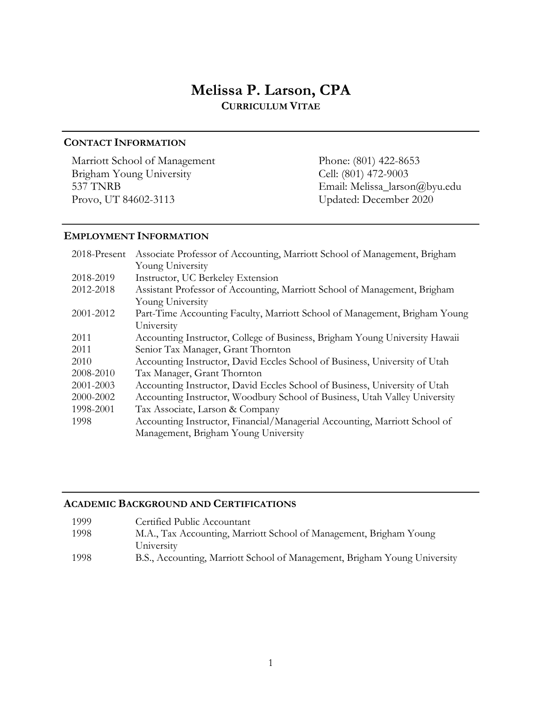# **Melissa P. Larson, CPA CURRICULUM VITAE**

# **CONTACT INFORMATION**

Marriott School of Management Phone: (801) 422-8653<br>Brigham Young University Cell: (801) 472-9003 Brigham Young University Provo, UT 84602-3113 Updated: December 2020

537 TNRB Email: Melissa\_larson@byu.edu

# **EMPLOYMENT INFORMATION**

| 2018-Present | Associate Professor of Accounting, Marriott School of Management, Brigham   |
|--------------|-----------------------------------------------------------------------------|
|              | Young University                                                            |
| 2018-2019    | Instructor, UC Berkeley Extension                                           |
| 2012-2018    | Assistant Professor of Accounting, Marriott School of Management, Brigham   |
|              | Young University                                                            |
| 2001-2012    | Part-Time Accounting Faculty, Marriott School of Management, Brigham Young  |
|              | University                                                                  |
| 2011         | Accounting Instructor, College of Business, Brigham Young University Hawaii |
| 2011         | Senior Tax Manager, Grant Thornton                                          |
| 2010         | Accounting Instructor, David Eccles School of Business, University of Utah  |
| 2008-2010    | Tax Manager, Grant Thornton                                                 |
| 2001-2003    | Accounting Instructor, David Eccles School of Business, University of Utah  |
| 2000-2002    | Accounting Instructor, Woodbury School of Business, Utah Valley University  |
| 1998-2001    | Tax Associate, Larson & Company                                             |
| 1998         | Accounting Instructor, Financial/Managerial Accounting, Marriott School of  |
|              | Management, Brigham Young University                                        |

### **ACADEMIC BACKGROUND AND CERTIFICATIONS**

| 1999 | Certified Public Accountant                                               |
|------|---------------------------------------------------------------------------|
| 1998 | M.A., Tax Accounting, Marriott School of Management, Brigham Young        |
|      | University                                                                |
| 1998 | B.S., Accounting, Marriott School of Management, Brigham Young University |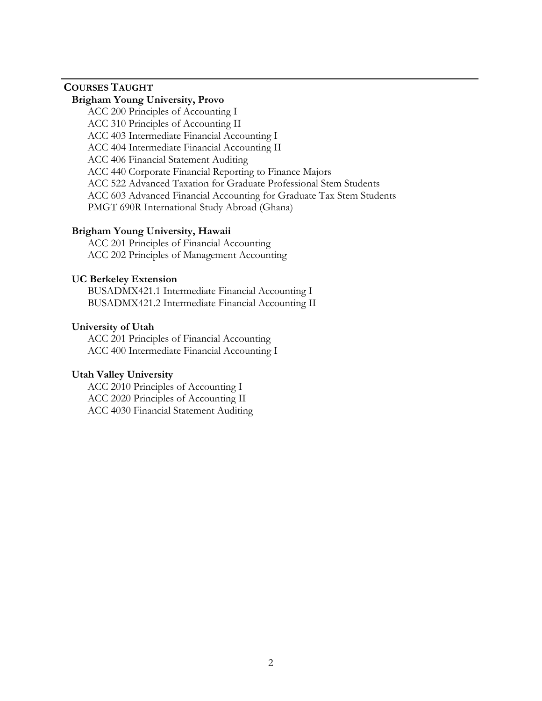# **COURSES TAUGHT**

### **Brigham Young University, Provo**

ACC 200 Principles of Accounting I ACC 310 Principles of Accounting II ACC 403 Intermediate Financial Accounting I ACC 404 Intermediate Financial Accounting II ACC 406 Financial Statement Auditing ACC 440 Corporate Financial Reporting to Finance Majors ACC 522 Advanced Taxation for Graduate Professional Stem Students ACC 603 Advanced Financial Accounting for Graduate Tax Stem Students PMGT 690R International Study Abroad (Ghana)

#### **Brigham Young University, Hawaii**

ACC 201 Principles of Financial Accounting ACC 202 Principles of Management Accounting

### **UC Berkeley Extension**

BUSADMX421.1 Intermediate Financial Accounting I BUSADMX421.2 Intermediate Financial Accounting II

### **University of Utah**

ACC 201 Principles of Financial Accounting ACC 400 Intermediate Financial Accounting I

### **Utah Valley University**

ACC 2010 Principles of Accounting I ACC 2020 Principles of Accounting II ACC 4030 Financial Statement Auditing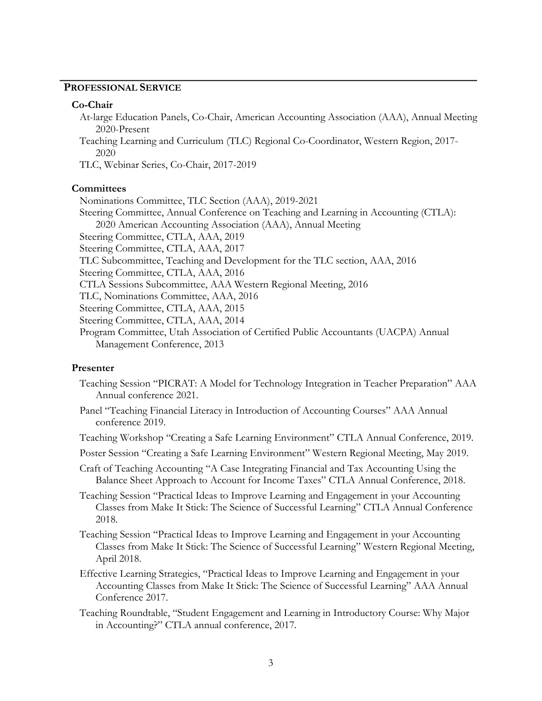### **PROFESSIONAL SERVICE**

#### **Co-Chair**

- At-large Education Panels, Co-Chair, American Accounting Association (AAA), Annual Meeting 2020-Present
- Teaching Learning and Curriculum (TLC) Regional Co-Coordinator, Western Region, 2017- 2020
- TLC, Webinar Series, Co-Chair, 2017-2019

#### **Committees**

Nominations Committee, TLC Section (AAA), 2019-2021 Steering Committee, Annual Conference on Teaching and Learning in Accounting (CTLA): 2020 American Accounting Association (AAA), Annual Meeting Steering Committee, CTLA, AAA, 2019 Steering Committee, CTLA, AAA, 2017 TLC Subcommittee, Teaching and Development for the TLC section, AAA, 2016 Steering Committee, CTLA, AAA, 2016 CTLA Sessions Subcommittee, AAA Western Regional Meeting, 2016 TLC, Nominations Committee, AAA, 2016 Steering Committee, CTLA, AAA, 2015 Steering Committee, CTLA, AAA, 2014 Program Committee, Utah Association of Certified Public Accountants (UACPA) Annual Management Conference, 2013

#### **Presenter**

- Teaching Session "PICRAT: A Model for Technology Integration in Teacher Preparation" AAA Annual conference 2021.
- Panel "Teaching Financial Literacy in Introduction of Accounting Courses" AAA Annual conference 2019.

Teaching Workshop "Creating a Safe Learning Environment" CTLA Annual Conference, 2019.

Poster Session "Creating a Safe Learning Environment" Western Regional Meeting, May 2019.

- Craft of Teaching Accounting "A Case Integrating Financial and Tax Accounting Using the Balance Sheet Approach to Account for Income Taxes" CTLA Annual Conference, 2018.
- Teaching Session "Practical Ideas to Improve Learning and Engagement in your Accounting Classes from Make It Stick: The Science of Successful Learning" CTLA Annual Conference 2018.
- Teaching Session "Practical Ideas to Improve Learning and Engagement in your Accounting Classes from Make It Stick: The Science of Successful Learning" Western Regional Meeting, April 2018.
- Effective Learning Strategies, "Practical Ideas to Improve Learning and Engagement in your Accounting Classes from Make It Stick: The Science of Successful Learning" AAA Annual Conference 2017.
- Teaching Roundtable, "Student Engagement and Learning in Introductory Course: Why Major in Accounting?" CTLA annual conference, 2017.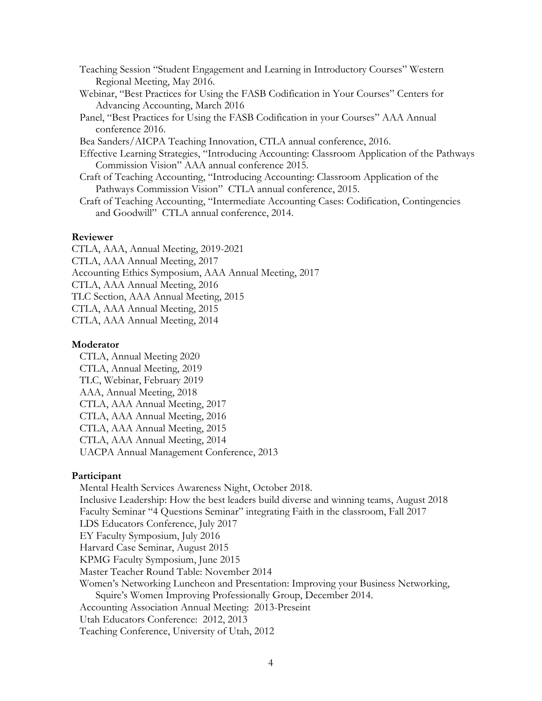- Teaching Session "Student Engagement and Learning in Introductory Courses" Western Regional Meeting, May 2016.
- Webinar, "Best Practices for Using the FASB Codification in Your Courses" Centers for Advancing Accounting, March 2016
- Panel, "Best Practices for Using the FASB Codification in your Courses" AAA Annual conference 2016.

Bea Sanders/AICPA Teaching Innovation, CTLA annual conference, 2016.

- Effective Learning Strategies, "Introducing Accounting: Classroom Application of the Pathways Commission Vision" AAA annual conference 2015.
- Craft of Teaching Accounting, "Introducing Accounting: Classroom Application of the Pathways Commission Vision" CTLA annual conference, 2015.

Craft of Teaching Accounting, "Intermediate Accounting Cases: Codification, Contingencies and Goodwill" CTLA annual conference, 2014.

#### **Reviewer**

CTLA, AAA, Annual Meeting, 2019-2021 CTLA, AAA Annual Meeting, 2017 Accounting Ethics Symposium, AAA Annual Meeting, 2017 CTLA, AAA Annual Meeting, 2016 TLC Section, AAA Annual Meeting, 2015 CTLA, AAA Annual Meeting, 2015

CTLA, AAA Annual Meeting, 2014

#### **Moderator**

CTLA, Annual Meeting 2020 CTLA, Annual Meeting, 2019 TLC, Webinar, February 2019 AAA, Annual Meeting, 2018 CTLA, AAA Annual Meeting, 2017 CTLA, AAA Annual Meeting, 2016 CTLA, AAA Annual Meeting, 2015 CTLA, AAA Annual Meeting, 2014 UACPA Annual Management Conference, 2013

#### **Participant**

Mental Health Services Awareness Night, October 2018. Inclusive Leadership: How the best leaders build diverse and winning teams, August 2018 Faculty Seminar "4 Questions Seminar" integrating Faith in the classroom, Fall 2017 LDS Educators Conference, July 2017 EY Faculty Symposium, July 2016 Harvard Case Seminar, August 2015 KPMG Faculty Symposium, June 2015 Master Teacher Round Table: November 2014 Women's Networking Luncheon and Presentation: Improving your Business Networking, Squire's Women Improving Professionally Group, December 2014. Accounting Association Annual Meeting: 2013-Preseint Utah Educators Conference: 2012, 2013 Teaching Conference, University of Utah, 2012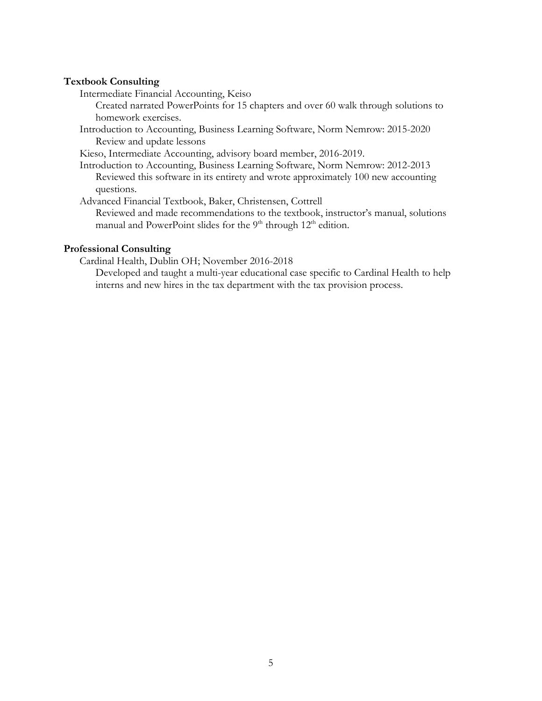#### **Textbook Consulting**

Intermediate Financial Accounting, Keiso

Created narrated PowerPoints for 15 chapters and over 60 walk through solutions to homework exercises.

Introduction to Accounting, Business Learning Software, Norm Nemrow: 2015-2020 Review and update lessons

Kieso, Intermediate Accounting, advisory board member, 2016-2019.

Introduction to Accounting, Business Learning Software, Norm Nemrow: 2012-2013 Reviewed this software in its entirety and wrote approximately 100 new accounting questions.

Advanced Financial Textbook, Baker, Christensen, Cottrell

Reviewed and made recommendations to the textbook, instructor's manual, solutions manual and PowerPoint slides for the 9<sup>th</sup> through 12<sup>th</sup> edition.

### **Professional Consulting**

Cardinal Health, Dublin OH; November 2016-2018

Developed and taught a multi-year educational case specific to Cardinal Health to help interns and new hires in the tax department with the tax provision process.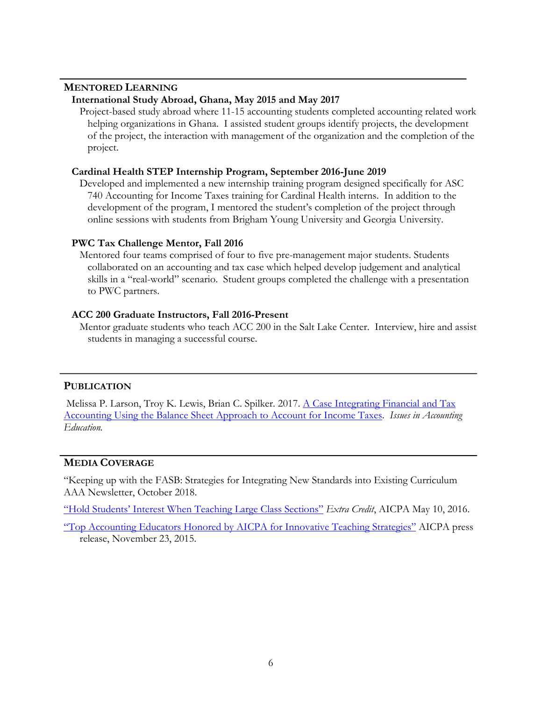## **MENTORED LEARNING**

### **International Study Abroad, Ghana, May 2015 and May 2017**

Project-based study abroad where 11-15 accounting students completed accounting related work helping organizations in Ghana. I assisted student groups identify projects, the development of the project, the interaction with management of the organization and the completion of the project.

#### **Cardinal Health STEP Internship Program, September 2016-June 2019**

Developed and implemented a new internship training program designed specifically for ASC 740 Accounting for Income Taxes training for Cardinal Health interns. In addition to the development of the program, I mentored the student's completion of the project through online sessions with students from Brigham Young University and Georgia University.

#### **PWC Tax Challenge Mentor, Fall 2016**

Mentored four teams comprised of four to five pre-management major students. Students collaborated on an accounting and tax case which helped develop judgement and analytical skills in a "real-world" scenario. Student groups completed the challenge with a presentation to PWC partners.

#### **ACC 200 Graduate Instructors, Fall 2016-Present**

Mentor graduate students who teach ACC 200 in the Salt Lake Center. Interview, hire and assist students in managing a successful course.

#### **PUBLICATION**

Melissa P. Larson, Troy K. Lewis, Brian C. Spilker. 2017. A Case Integrating Financial and Tax Accounting Using the Balance Sheet Approach to Account for Income Taxes. *Issues in Accounting Education.*

### **MEDIA COVERAGE**

"Keeping up with the FASB: Strategies for Integrating New Standards into Existing Curriculum AAA Newsletter, October 2018.

"Hold Students' Interest When Teaching Large Class Sections" *Extra Credit*, AICPA May 10, 2016.

"Top Accounting Educators Honored by AICPA for Innovative Teaching Strategies" AICPA press release, November 23, 2015.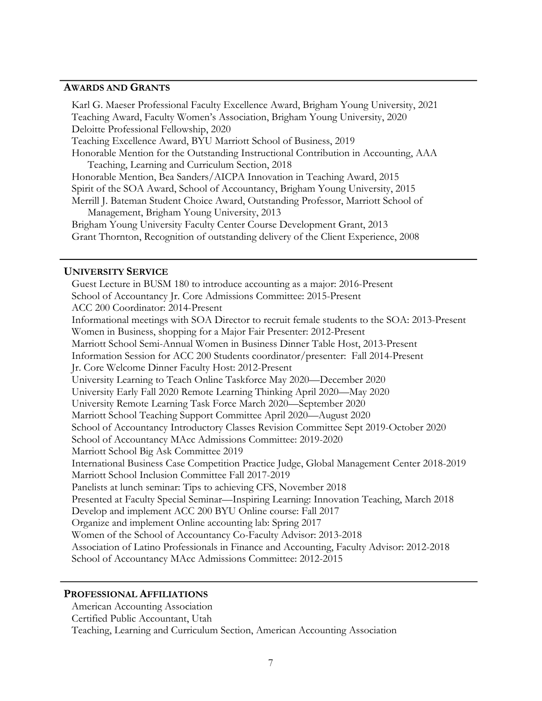### **AWARDS AND GRANTS**

 Karl G. Maeser Professional Faculty Excellence Award, Brigham Young University, 2021 Teaching Award, Faculty Women's Association, Brigham Young University, 2020 Deloitte Professional Fellowship, 2020 Teaching Excellence Award, BYU Marriott School of Business, 2019 Honorable Mention for the Outstanding Instructional Contribution in Accounting, AAA Teaching, Learning and Curriculum Section, 2018 Honorable Mention, Bea Sanders/AICPA Innovation in Teaching Award, 2015 Spirit of the SOA Award, School of Accountancy, Brigham Young University, 2015 Merrill J. Bateman Student Choice Award, Outstanding Professor, Marriott School of Management, Brigham Young University, 2013 Brigham Young University Faculty Center Course Development Grant, 2013 Grant Thornton, Recognition of outstanding delivery of the Client Experience, 2008

#### **UNIVERSITY SERVICE**

Guest Lecture in BUSM 180 to introduce accounting as a major: 2016-Present School of Accountancy Jr. Core Admissions Committee: 2015-Present ACC 200 Coordinator: 2014-Present Informational meetings with SOA Director to recruit female students to the SOA: 2013-Present Women in Business, shopping for a Major Fair Presenter: 2012-Present Marriott School Semi-Annual Women in Business Dinner Table Host, 2013-Present Information Session for ACC 200 Students coordinator/presenter: Fall 2014-Present Jr. Core Welcome Dinner Faculty Host: 2012-Present University Learning to Teach Online Taskforce May 2020—December 2020 University Early Fall 2020 Remote Learning Thinking April 2020—May 2020 University Remote Learning Task Force March 2020—September 2020 Marriott School Teaching Support Committee April 2020—August 2020 School of Accountancy Introductory Classes Revision Committee Sept 2019-October 2020 School of Accountancy MAcc Admissions Committee: 2019-2020 Marriott School Big Ask Committee 2019 International Business Case Competition Practice Judge, Global Management Center 2018-2019 Marriott School Inclusion Committee Fall 2017-2019 Panelists at lunch seminar: Tips to achieving CFS, November 2018 Presented at Faculty Special Seminar—Inspiring Learning: Innovation Teaching, March 2018 Develop and implement ACC 200 BYU Online course: Fall 2017 Organize and implement Online accounting lab: Spring 2017 Women of the School of Accountancy Co-Faculty Advisor: 2013-2018 Association of Latino Professionals in Finance and Accounting, Faculty Advisor: 2012-2018 School of Accountancy MAcc Admissions Committee: 2012-2015

### **PROFESSIONAL AFFILIATIONS**

American Accounting Association Certified Public Accountant, Utah Teaching, Learning and Curriculum Section, American Accounting Association